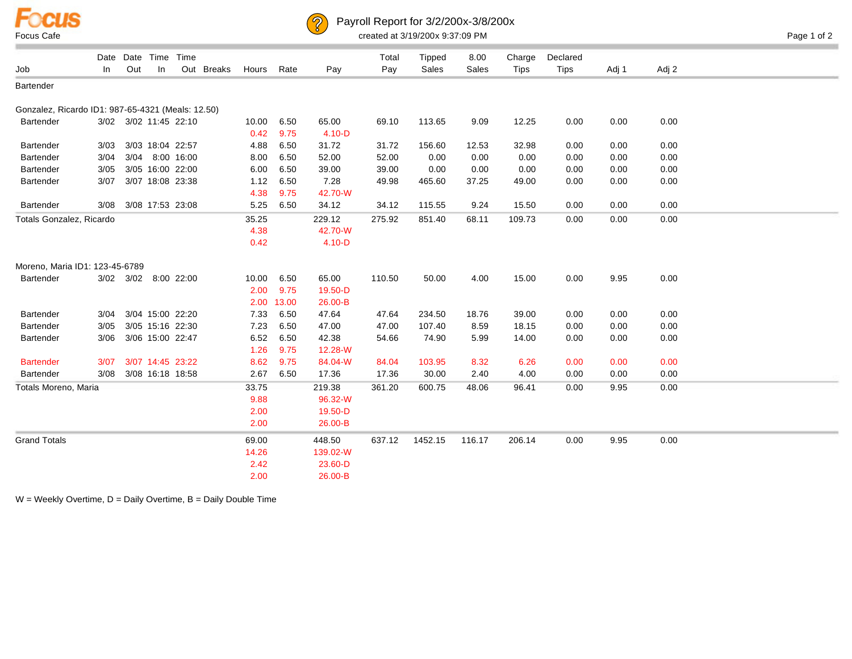



## Payroll Report for 3/2/200x-3/8/200x

|                                                   |      |     | Date Date Time        | Time |            |       |       |            | Total  | Tipped  | 8.00   | Charge      | Declared    |       |       |  |
|---------------------------------------------------|------|-----|-----------------------|------|------------|-------|-------|------------|--------|---------|--------|-------------|-------------|-------|-------|--|
| Job                                               | In.  | Out | In                    |      | Out Breaks | Hours | Rate  | Pay        | Pay    | Sales   | Sales  | <b>Tips</b> | <b>Tips</b> | Adj 1 | Adj 2 |  |
| Bartender                                         |      |     |                       |      |            |       |       |            |        |         |        |             |             |       |       |  |
|                                                   |      |     |                       |      |            |       |       |            |        |         |        |             |             |       |       |  |
| Gonzalez, Ricardo ID1: 987-65-4321 (Meals: 12.50) |      |     |                       |      |            |       |       |            |        |         |        |             |             |       |       |  |
| <b>Bartender</b>                                  |      |     | 3/02 3/02 11:45 22:10 |      |            | 10.00 | 6.50  | 65.00      | 69.10  | 113.65  | 9.09   | 12.25       | 0.00        | 0.00  | 0.00  |  |
|                                                   |      |     |                       |      |            | 0.42  | 9.75  | $4.10 - D$ |        |         |        |             |             |       |       |  |
| Bartender                                         | 3/03 |     | 3/03 18:04 22:57      |      |            | 4.88  | 6.50  | 31.72      | 31.72  | 156.60  | 12.53  | 32.98       | 0.00        | 0.00  | 0.00  |  |
| Bartender                                         | 3/04 |     | 3/04 8:00 16:00       |      |            | 8.00  | 6.50  | 52.00      | 52.00  | 0.00    | 0.00   | 0.00        | 0.00        | 0.00  | 0.00  |  |
| Bartender                                         | 3/05 |     | 3/05 16:00 22:00      |      |            | 6.00  | 6.50  | 39.00      | 39.00  | 0.00    | 0.00   | 0.00        | 0.00        | 0.00  | 0.00  |  |
| Bartender                                         | 3/07 |     | 3/07 18:08 23:38      |      |            | 1.12  | 6.50  | 7.28       | 49.98  | 465.60  | 37.25  | 49.00       | 0.00        | 0.00  | 0.00  |  |
|                                                   |      |     |                       |      |            | 4.38  | 9.75  | 42.70-W    |        |         |        |             |             |       |       |  |
| Bartender                                         | 3/08 |     | 3/08 17:53 23:08      |      |            | 5.25  | 6.50  | 34.12      | 34.12  | 115.55  | 9.24   | 15.50       | 0.00        | 0.00  | 0.00  |  |
| Totals Gonzalez, Ricardo                          |      |     |                       |      |            | 35.25 |       | 229.12     | 275.92 | 851.40  | 68.11  | 109.73      | 0.00        | 0.00  | 0.00  |  |
|                                                   |      |     |                       |      |            | 4.38  |       | 42.70-W    |        |         |        |             |             |       |       |  |
|                                                   |      |     |                       |      |            | 0.42  |       | $4.10 - D$ |        |         |        |             |             |       |       |  |
|                                                   |      |     |                       |      |            |       |       |            |        |         |        |             |             |       |       |  |
| Moreno, Maria ID1: 123-45-6789                    |      |     |                       |      |            |       |       |            |        |         |        |             |             |       |       |  |
| Bartender                                         |      |     | 3/02 3/02 8:00 22:00  |      |            | 10.00 | 6.50  | 65.00      | 110.50 | 50.00   | 4.00   | 15.00       | 0.00        | 9.95  | 0.00  |  |
|                                                   |      |     |                       |      |            | 2.00  | 9.75  | 19.50-D    |        |         |        |             |             |       |       |  |
|                                                   |      |     |                       |      |            | 2.00  | 13.00 | 26.00-B    |        |         |        |             |             |       |       |  |
| Bartender                                         | 3/04 |     | 3/04 15:00 22:20      |      |            | 7.33  | 6.50  | 47.64      | 47.64  | 234.50  | 18.76  | 39.00       | 0.00        | 0.00  | 0.00  |  |
| Bartender                                         | 3/05 |     | 3/05 15:16 22:30      |      |            | 7.23  | 6.50  | 47.00      | 47.00  | 107.40  | 8.59   | 18.15       | 0.00        | 0.00  | 0.00  |  |
| Bartender                                         | 3/06 |     | 3/06 15:00 22:47      |      |            | 6.52  | 6.50  | 42.38      | 54.66  | 74.90   | 5.99   | 14.00       | 0.00        | 0.00  | 0.00  |  |
|                                                   |      |     |                       |      |            | 1.26  | 9.75  | 12.28-W    |        |         |        |             |             |       |       |  |
| <b>Bartender</b>                                  | 3/07 |     | 3/07 14:45 23:22      |      |            | 8.62  | 9.75  | 84.04-W    | 84.04  | 103.95  | 8.32   | 6.26        | 0.00        | 0.00  | 0.00  |  |
| Bartender                                         | 3/08 |     | 3/08 16:18 18:58      |      |            | 2.67  | 6.50  | 17.36      | 17.36  | 30.00   | 2.40   | 4.00        | 0.00        | 0.00  | 0.00  |  |
| Totals Moreno, Maria                              |      |     |                       |      |            | 33.75 |       | 219.38     | 361.20 | 600.75  | 48.06  | 96.41       | 0.00        | 9.95  | 0.00  |  |
|                                                   |      |     |                       |      |            |       |       | 96.32-W    |        |         |        |             |             |       |       |  |
|                                                   |      |     |                       |      |            | 9.88  |       |            |        |         |        |             |             |       |       |  |
|                                                   |      |     |                       |      |            | 2.00  |       | 19.50-D    |        |         |        |             |             |       |       |  |
|                                                   |      |     |                       |      |            | 2.00  |       | 26.00-B    |        |         |        |             |             |       |       |  |
| <b>Grand Totals</b>                               |      |     |                       |      |            | 69.00 |       | 448.50     | 637.12 | 1452.15 | 116.17 | 206.14      | 0.00        | 9.95  | 0.00  |  |
|                                                   |      |     |                       |      |            | 14.26 |       | 139.02-W   |        |         |        |             |             |       |       |  |
|                                                   |      |     |                       |      |            | 2.42  |       | 23.60-D    |        |         |        |             |             |       |       |  |
|                                                   |      |     |                       |      |            | 2.00  |       | 26.00-B    |        |         |        |             |             |       |       |  |

 $W =$  Weekly Overtime,  $D =$  Daily Overtime,  $B =$  Daily Double Time